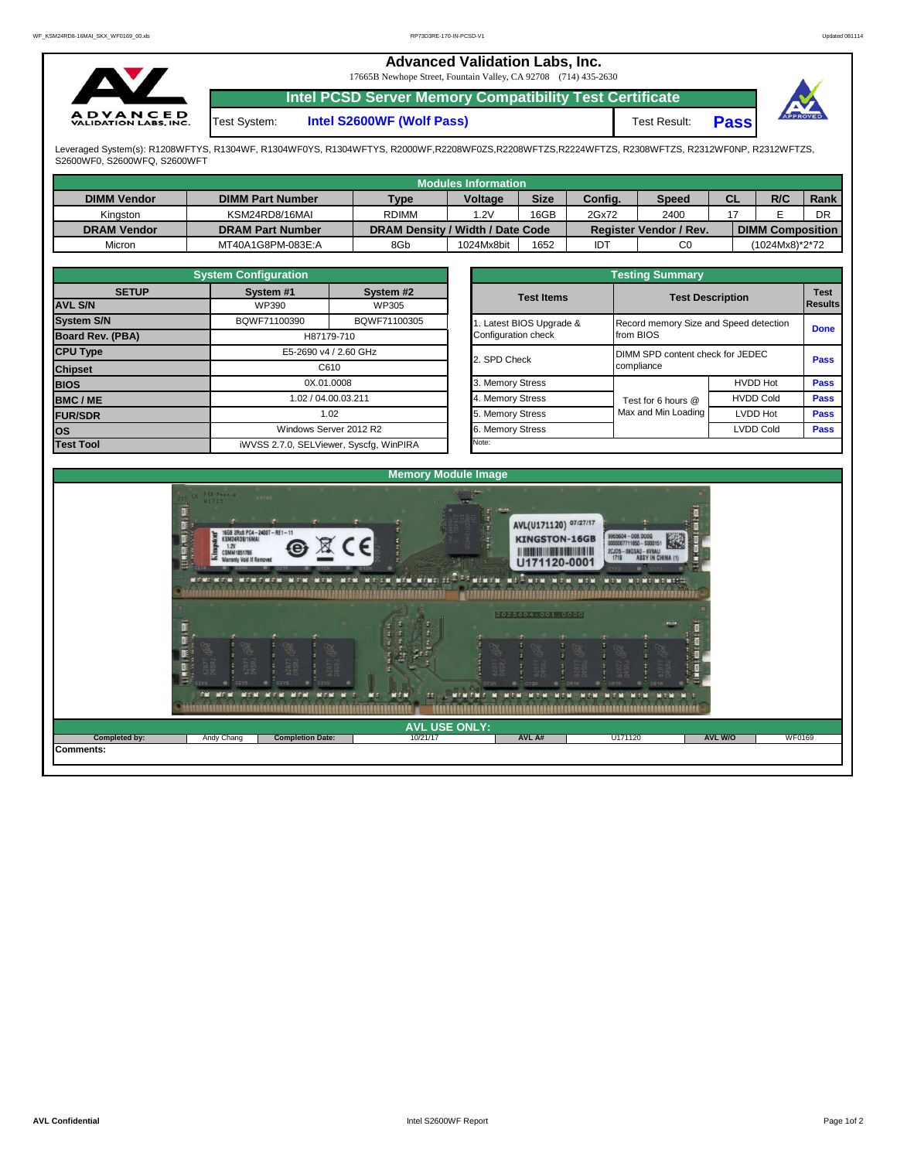## **Advanced Validation Labs, Inc.**  17665B Newhope Street, Fountain Valley, CA 92708 (714) 435-2630 **Intel PCSD Server Memory Compatibility Test Certificate A D V A N C E D**<br>VALIDATION LABS, INC. **Pass** Test System: **Intel S2600WF (Wolf Pass)** Test Result:

Leveraged System(s): R1208WFTYS, R1304WF, R1304WF0YS, R1304WFTYS, R2000WF,R2208WF0ZS,R2208WFTZS,R2224WFTZS, R2308WFTZS, R2312WF0NP, R2312WFTZS, S2600WF0, S2600WFQ, S2600WFT

|                    |                         |                                  | Modules Information |             |            |                               |           |                         |             |
|--------------------|-------------------------|----------------------------------|---------------------|-------------|------------|-------------------------------|-----------|-------------------------|-------------|
| <b>DIMM Vendor</b> | <b>DIMM Part Number</b> | <b>Type</b>                      | <b>Voltage</b>      | <b>Size</b> | Config.    | <b>Speed</b>                  | <b>CL</b> | R/C                     | <b>Rank</b> |
| Kinaston           | KSM24RD8/16MAI          | <b>RDIMM</b>                     | .2V                 | 16GB        | 2Gx72      | 2400                          |           |                         | DR          |
| <b>DRAM Vendor</b> | <b>DRAM Part Number</b> | DRAM Density / Width / Date Code |                     |             |            | <b>Register Vendor / Rev.</b> |           | <b>DIMM Composition</b> |             |
| Micron             | MT40A1G8PM-083E:A       | 8Gb                              | 1024Mx8bit          | 1652        | <b>IDT</b> | C0                            |           | (1024Mx8)*2*72          |             |

|                                | <b>System Configuration</b>             |                        |  | <b>Testing Summary</b> |                                        |                         |                        |  |  |  |  |  |  |
|--------------------------------|-----------------------------------------|------------------------|--|------------------------|----------------------------------------|-------------------------|------------------------|--|--|--|--|--|--|
| <b>SETUP</b><br><b>AVL S/N</b> | System #1<br>WP390                      | System #2<br>WP305     |  | <b>Test Items</b>      |                                        | <b>Test Description</b> | <b>Test</b><br>Results |  |  |  |  |  |  |
| <b>System S/N</b>              | BQWF71100390                            | BQWF71100305           |  | Latest BIOS Upgrade &  | Record memory Size and Speed detection |                         | <b>Done</b>            |  |  |  |  |  |  |
| Board Rev. (PBA)               |                                         | H87179-710             |  | Configuration check    | from BIOS                              |                         |                        |  |  |  |  |  |  |
| <b>CPU Type</b>                | E5-2690 v4 / 2.60 GHz                   |                        |  | 2. SPD Check           | DIMM SPD content check for JEDEC       | <b>Pass</b>             |                        |  |  |  |  |  |  |
| <b>Chipset</b>                 | C610                                    |                        |  |                        | compliance                             |                         |                        |  |  |  |  |  |  |
| <b>BIOS</b>                    |                                         | 0X.01.0008             |  | 3. Memory Stress       |                                        | <b>HVDD Hot</b>         | <b>Pass</b>            |  |  |  |  |  |  |
| <b>BMC/ME</b>                  |                                         | 1.02 / 04.00.03.211    |  | 4. Memory Stress       | Test for 6 hours @                     | <b>HVDD Cold</b>        | <b>Pass</b>            |  |  |  |  |  |  |
| <b>FUR/SDR</b>                 | 1.02                                    |                        |  | 5. Memory Stress       | Max and Min Loading                    | LVDD Hot                | Pass                   |  |  |  |  |  |  |
| <b>los</b>                     |                                         | Windows Server 2012 R2 |  | 6. Memory Stress       |                                        | <b>LVDD Cold</b>        | <b>Pass</b>            |  |  |  |  |  |  |
| <b>Test Tool</b>               | iWVSS 2.7.0, SELViewer, Syscfg, WinPIRA |                        |  | Note:                  |                                        |                         |                        |  |  |  |  |  |  |